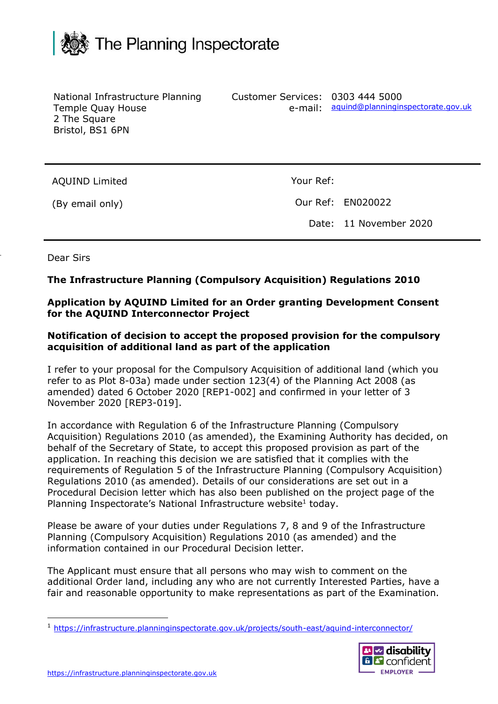

| National Infrastructure Planning<br>Temple Quay House<br>2 The Square<br>Bristol, BS1 6PN | Customer Services: 0303 444 5000<br>e-mail: | aquind@planninginspectorate.gov.uk |
|-------------------------------------------------------------------------------------------|---------------------------------------------|------------------------------------|
| <b>AQUIND Limited</b>                                                                     | Your Ref:                                   |                                    |
| (By email only)                                                                           |                                             | Our Ref: EN020022                  |
|                                                                                           | Date:                                       | 11 November 2020                   |

#### Dear Sirs

## **The Infrastructure Planning (Compulsory Acquisition) Regulations 2010**

## **Application by AQUIND Limited for an Order granting Development Consent for the AQUIND Interconnector Project**

#### **Notification of decision to accept the proposed provision for the compulsory acquisition of additional land as part of the application**

I refer to your proposal for the Compulsory Acquisition of additional land (which you refer to as Plot 8-03a) made under section 123(4) of the Planning Act 2008 (as amended) dated 6 October 2020 [REP1-002] and confirmed in your letter of 3 November 2020 [REP3-019].

In accordance with Regulation 6 of the Infrastructure Planning (Compulsory Acquisition) Regulations 2010 (as amended), the Examining Authority has decided, on behalf of the Secretary of State, to accept this proposed provision as part of the application. In reaching this decision we are satisfied that it complies with the requirements of Regulation 5 of the Infrastructure Planning (Compulsory Acquisition) Regulations 2010 (as amended). Details of our considerations are set out in a Procedural Decision letter which has also been published on the project page of the Planning Inspectorate's National Infrastructure website<sup>1</sup> today.

Please be aware of your duties under Regulations 7, 8 and 9 of the Infrastructure Planning (Compulsory Acquisition) Regulations 2010 (as amended) and the information contained in our Procedural Decision letter.

The Applicant must ensure that all persons who may wish to comment on the additional Order land, including any who are not currently Interested Parties, have a fair and reasonable opportunity to make representations as part of the Examination.

<sup>&</sup>lt;sup>1</sup> <https://infrastructure.planninginspectorate.gov.uk/projects/south-east/aquind-interconnector/>